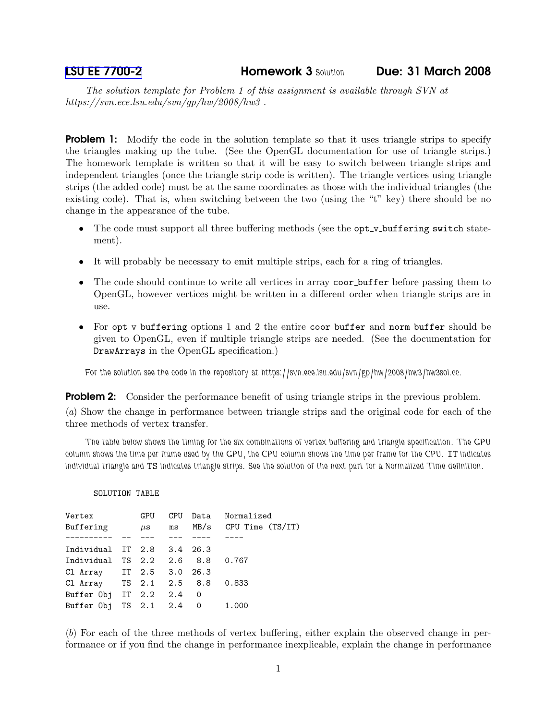[LSU EE 7700-2](http://www.ece.lsu.edu/gp/) Homework 3 Solution Due: 31 March 2008

The solution template for Problem 1 of this assignment is available through SVN at https://svn.ece.lsu.edu/svn/gp/hw/2008/hw3 .

**Problem 1:** Modify the code in the solution template so that it uses triangle strips to specify the triangles making up the tube. (See the OpenGL documentation for use of triangle strips.) The homework template is written so that it will be easy to switch between triangle strips and independent triangles (once the triangle strip code is written). The triangle vertices using triangle strips (the added code) must be at the same coordinates as those with the individual triangles (the existing code). That is, when switching between the two (using the "t" key) there should be no change in the appearance of the tube.

- The code must support all three buffering methods (see the opt\_v\_buffering switch statement).
- It will probably be necessary to emit multiple strips, each for a ring of triangles.
- The code should continue to write all vertices in array coor buffer before passing them to OpenGL, however vertices might be written in a different order when triangle strips are in use.
- For opt\_v\_buffering options 1 and 2 the entire coor\_buffer and norm\_buffer should be given to OpenGL, even if multiple triangle strips are needed. (See the documentation for DrawArrays in the OpenGL specification.)

For the solution see the code in the repository at https://svn.ece.lsu.edu/svn/gp/hw/2008/hw3/hw3sol.cc.

**Problem 2:** Consider the performance benefit of using triangle strips in the previous problem.

(a) Show the change in performance between triangle strips and the original code for each of the three methods of vertex transfer.

The table below shows the timing for the six combinations of vertex buffering and triangle specification. The GPU column shows the time per frame used by the GPU, the CPU column shows the time per frame for the CPU. IT indicates individual triangle and TS indicates triangle strips. See the solution of the next part for a Normalized Time definition.

## SOLUTION TABLE

| Vertex<br>Buffering        | GPU<br>$\mu$ s | <b>CPU</b><br>ms | Data Normalized<br>MB/s CPU Time (TS/IT) |
|----------------------------|----------------|------------------|------------------------------------------|
|                            |                |                  |                                          |
| Individual IT 2.8 3.4 26.3 |                |                  |                                          |
| Individual TS 2.2 2.6 8.8  |                |                  | 0.767                                    |
| Cl Array IT 2.5 3.0 26.3   |                |                  |                                          |
| Cl Array TS 2.1 2.5 8.8    |                |                  | 0.833                                    |
| Buffer Obj IT 2.2 2.4 0    |                |                  |                                          |
| Buffer Obj TS 2.1 2.4 0    |                |                  | 1.000                                    |

(b) For each of the three methods of vertex buffering, either explain the observed change in performance or if you find the change in performance inexplicable, explain the change in performance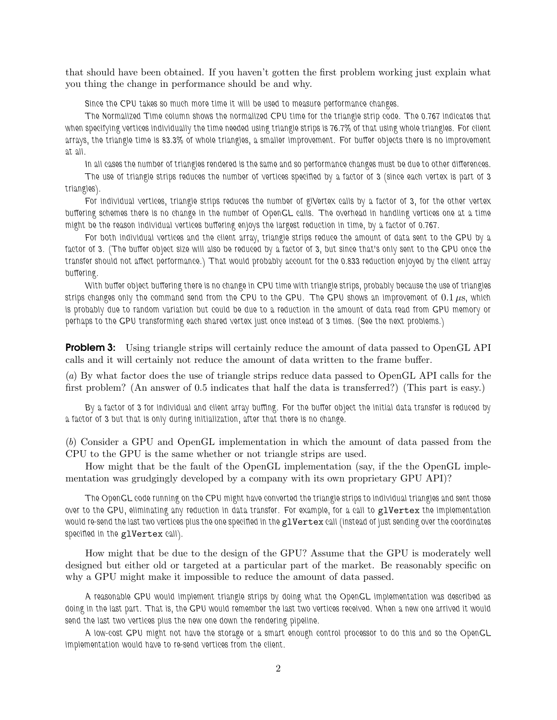that should have been obtained. If you haven't gotten the first problem working just explain what you thing the change in performance should be and why.

Since the CPU takes so much more time it will be used to measure performance changes.

The Normalized Time column shows the normalized CPU time for the triangle strip code. The 0.767 indicates that when specifying vertices individually the time needed using triangle strips is 76.7% of that using whole triangles. For client arrays, the triangle time is 83.3% of whole triangles, a smaller improvement. For buffer objects there is no improvement at all.

In all cases the number of triangles rendered is the same and so performance changes must be due to other differences. The use of triangle strips reduces the number of vertices specified by a factor of 3 (since each vertex is part of 3 triangles).

For individual vertices, triangle strips reduces the number of glVertex calls by a factor of 3, for the other vertex buffering schemes there is no change in the number of OpenGL calls. The overhead in handling vertices one at a time might be the reason individual vertices buffering enjoys the largest reduction in time, by a factor of 0.767.

For both individual vertices and the client array, triangle strips reduce the amount of data sent to the GPU by a factor of 3. (The buffer object size will also be reduced by a factor of 3, but since that's only sent to the GPU once the transfer should not affect performance.) That would probably account for the 0.833 reduction enjoyed by the client array buffering.

With buffer object buffering there is no change in CPU time with triangle strips, probably because the use of triangles strips changes only the command send from the CPU to the GPU. The GPU shows an improvement of  $0.1 \,\mu s$ , which is probably due to random variation but could be due to a reduction in the amount of data read from GPU memory or perhaps to the GPU transforming each shared vertex just once instead of 3 times. (See the next problems.)

**Problem 3:** Using triangle strips will certainly reduce the amount of data passed to OpenGL API calls and it will certainly not reduce the amount of data written to the frame buffer.

(a) By what factor does the use of triangle strips reduce data passed to OpenGL API calls for the first problem? (An answer of 0.5 indicates that half the data is transferred?) (This part is easy.)

By a factor of 3 for individual and client array buffing. For the buffer object the initial data transfer is reduced by a factor of 3 but that is only during initialization, after that there is no change.

(b) Consider a GPU and OpenGL implementation in which the amount of data passed from the CPU to the GPU is the same whether or not triangle strips are used.

How might that be the fault of the OpenGL implementation (say, if the the OpenGL implementation was grudgingly developed by a company with its own proprietary GPU API)?

The OpenGL code running on the CPU might have converted the triangle strips to individual triangles and sent those over to the GPU, eliminating any reduction in data transfer. For example, for a call to glvertex the implementation would re-send the last two vertices plus the one specified in the glvertex call (instead of just sending over the coordinates specified in the glVertex call).

How might that be due to the design of the GPU? Assume that the GPU is moderately well designed but either old or targeted at a particular part of the market. Be reasonably specific on why a GPU might make it impossible to reduce the amount of data passed.

A reasonable GPU would implement triangle strips by doing what the OpenGL implementation was described as doing in the last part. That is, the GPU would remember the last two vertices received. When a new one arrived it would send the last two vertices plus the new one down the rendering pipeline.

A low-cost GPU might not have the storage or a smart enough control processor to do this and so the OpenGL implementation would have to re-send vertices from the client.